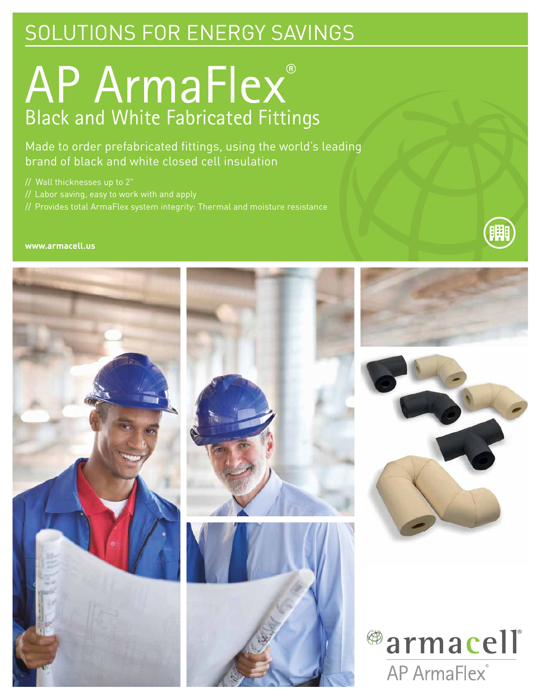## SOLUTIONS FOR ENERGY SAVINGS

# AP ArmaFlex® Black and White Fabricated Fittings

Made to order prefabricated fittings, using the world's leading brand of black and white closed cell insulation

// Wall thicknesses up to 2"

- // Labor saving, easy to work with and apply
- // Provides total ArmaFlex system integrity: Thermal and moisture resistance

### **www.armacell.us**